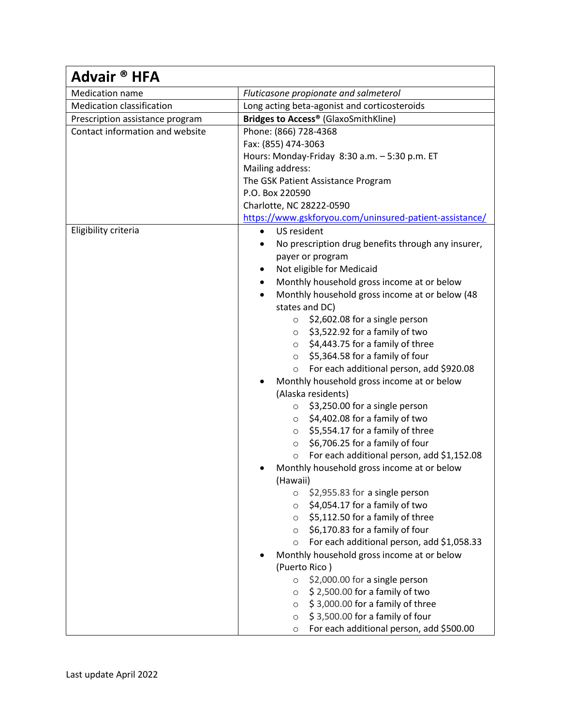| Advair <sup>®</sup> HFA          |                                                              |
|----------------------------------|--------------------------------------------------------------|
| Medication name                  | Fluticasone propionate and salmeterol                        |
| <b>Medication classification</b> | Long acting beta-agonist and corticosteroids                 |
| Prescription assistance program  | Bridges to Access® (GlaxoSmithKline)                         |
| Contact information and website  | Phone: (866) 728-4368                                        |
|                                  | Fax: (855) 474-3063                                          |
|                                  | Hours: Monday-Friday 8:30 a.m. - 5:30 p.m. ET                |
|                                  | Mailing address:                                             |
|                                  | The GSK Patient Assistance Program                           |
|                                  | P.O. Box 220590                                              |
|                                  | Charlotte, NC 28222-0590                                     |
|                                  | https://www.gskforyou.com/uninsured-patient-assistance/      |
| Eligibility criteria             | US resident<br>$\bullet$                                     |
|                                  | No prescription drug benefits through any insurer,           |
|                                  | payer or program                                             |
|                                  | Not eligible for Medicaid                                    |
|                                  | Monthly household gross income at or below                   |
|                                  | Monthly household gross income at or below (48<br>$\bullet$  |
|                                  | states and DC)                                               |
|                                  | \$2,602.08 for a single person<br>$\circ$                    |
|                                  | \$3,522.92 for a family of two<br>$\circ$                    |
|                                  | \$4,443.75 for a family of three<br>$\circ$                  |
|                                  | \$5,364.58 for a family of four<br>$\circ$                   |
|                                  | For each additional person, add \$920.08<br>$\circ$          |
|                                  | Monthly household gross income at or below                   |
|                                  | (Alaska residents)<br>$\circ$ \$3,250.00 for a single person |
|                                  | \$4,402.08 for a family of two                               |
|                                  | $\circ$<br>\$5,554.17 for a family of three<br>$\circ$       |
|                                  | \$6,706.25 for a family of four<br>$\circ$                   |
|                                  | For each additional person, add \$1,152.08<br>$\circ$        |
|                                  | Monthly household gross income at or below                   |
|                                  | (Hawaii)                                                     |
|                                  | \$2,955.83 for a single person<br>$\circ$                    |
|                                  | \$4,054.17 for a family of two<br>$\circ$                    |
|                                  | \$5,112.50 for a family of three<br>$\circ$                  |
|                                  | \$6,170.83 for a family of four<br>$\circ$                   |
|                                  | For each additional person, add \$1,058.33<br>$\circ$        |
|                                  | Monthly household gross income at or below                   |
|                                  | (Puerto Rico)                                                |
|                                  | \$2,000.00 for a single person<br>$\circ$                    |
|                                  | \$2,500.00 for a family of two<br>$\circ$                    |
|                                  | \$3,000.00 for a family of three<br>$\circ$                  |
|                                  | \$3,500.00 for a family of four<br>$\circ$                   |
|                                  | For each additional person, add \$500.00<br>O                |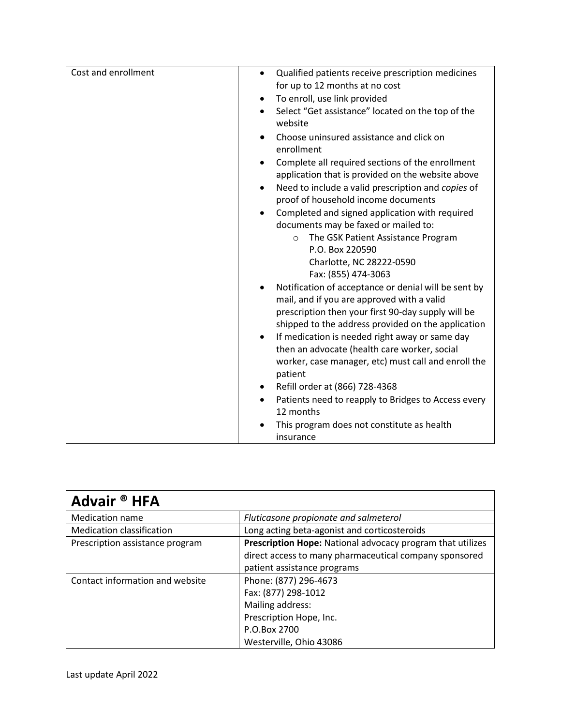| Cost and enrollment | Qualified patients receive prescription medicines<br>$\bullet$                                                     |
|---------------------|--------------------------------------------------------------------------------------------------------------------|
|                     | for up to 12 months at no cost                                                                                     |
|                     | To enroll, use link provided<br>$\bullet$                                                                          |
|                     | Select "Get assistance" located on the top of the<br>$\bullet$                                                     |
|                     | website                                                                                                            |
|                     | Choose uninsured assistance and click on<br>enrollment                                                             |
|                     | Complete all required sections of the enrollment<br>$\bullet$<br>application that is provided on the website above |
|                     | Need to include a valid prescription and copies of<br>$\bullet$                                                    |
|                     | proof of household income documents                                                                                |
|                     | Completed and signed application with required<br>$\bullet$                                                        |
|                     | documents may be faxed or mailed to:                                                                               |
|                     | The GSK Patient Assistance Program<br>$\circ$                                                                      |
|                     | P.O. Box 220590                                                                                                    |
|                     | Charlotte, NC 28222-0590                                                                                           |
|                     | Fax: (855) 474-3063                                                                                                |
|                     | Notification of acceptance or denial will be sent by                                                               |
|                     | mail, and if you are approved with a valid                                                                         |
|                     | prescription then your first 90-day supply will be                                                                 |
|                     | shipped to the address provided on the application                                                                 |
|                     | If medication is needed right away or same day<br>$\bullet$                                                        |
|                     | then an advocate (health care worker, social                                                                       |
|                     | worker, case manager, etc) must call and enroll the<br>patient                                                     |
|                     | Refill order at (866) 728-4368                                                                                     |
|                     | Patients need to reapply to Bridges to Access every<br>$\bullet$                                                   |
|                     | 12 months                                                                                                          |
|                     | This program does not constitute as health                                                                         |
|                     | insurance                                                                                                          |

| Advair <sup>®</sup> HFA          |                                                            |
|----------------------------------|------------------------------------------------------------|
| <b>Medication name</b>           | Fluticasone propionate and salmeterol                      |
| <b>Medication classification</b> | Long acting beta-agonist and corticosteroids               |
| Prescription assistance program  | Prescription Hope: National advocacy program that utilizes |
|                                  | direct access to many pharmaceutical company sponsored     |
|                                  | patient assistance programs                                |
| Contact information and website  | Phone: (877) 296-4673                                      |
|                                  | Fax: (877) 298-1012                                        |
|                                  | Mailing address:                                           |
|                                  | Prescription Hope, Inc.                                    |
|                                  | P.O.Box 2700                                               |
|                                  | Westerville, Ohio 43086                                    |